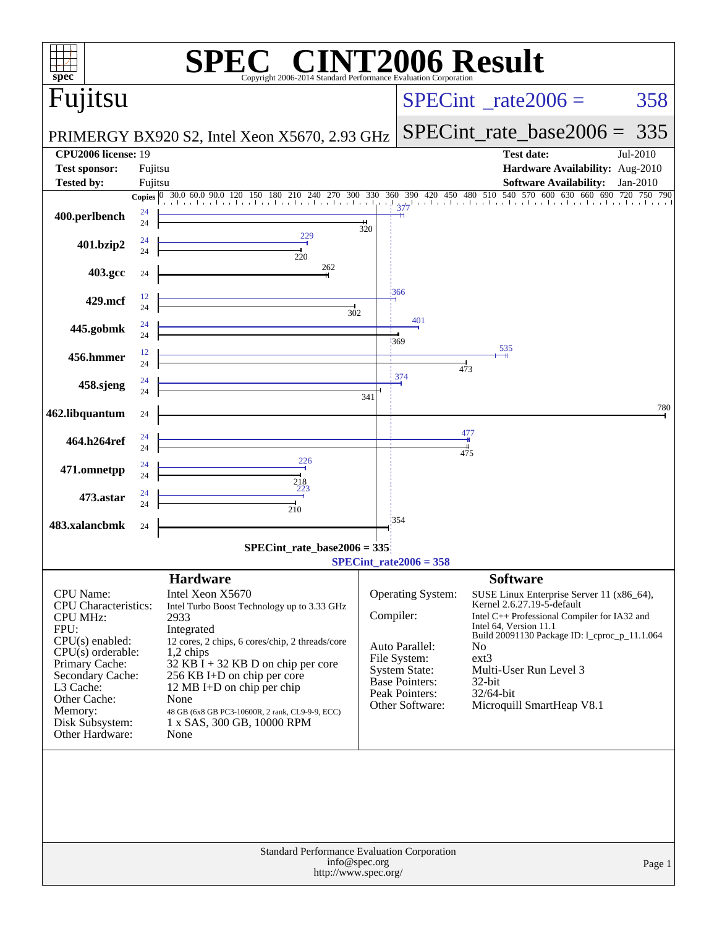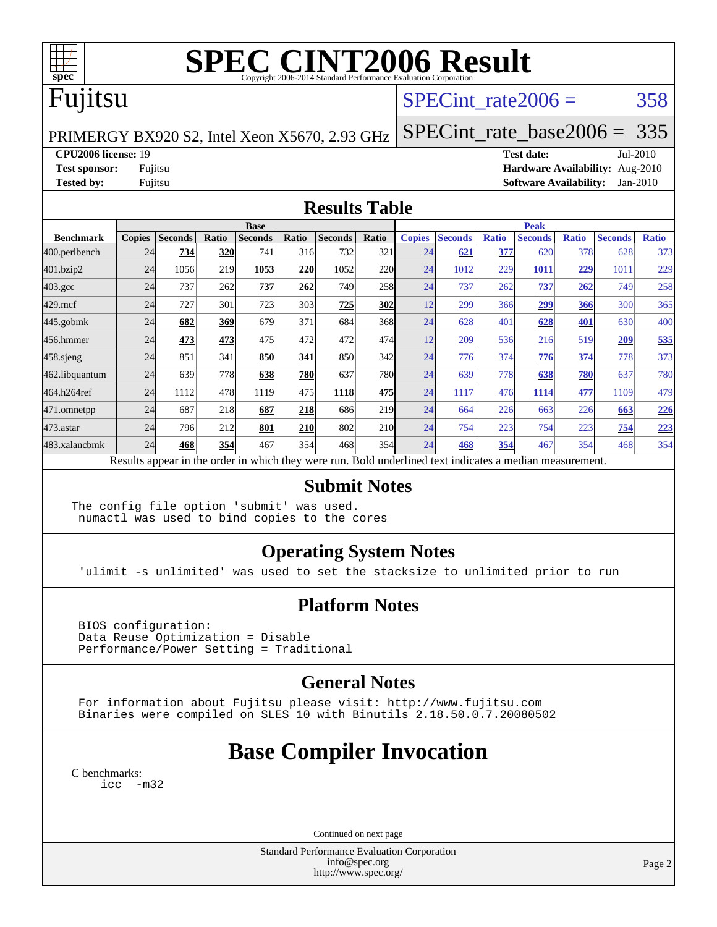

# **[SPEC CINT2006 Result](http://www.spec.org/auto/cpu2006/Docs/result-fields.html#SPECCINT2006Result)**

# Fujitsu

## SPECint rate $2006 = 358$

PRIMERGY BX920 S2, Intel Xeon X5670, 2.93 GHz

[SPECint\\_rate\\_base2006 =](http://www.spec.org/auto/cpu2006/Docs/result-fields.html#SPECintratebase2006) 335

**[CPU2006 license:](http://www.spec.org/auto/cpu2006/Docs/result-fields.html#CPU2006license)** 19 **[Test date:](http://www.spec.org/auto/cpu2006/Docs/result-fields.html#Testdate)** Jul-2010 **[Test sponsor:](http://www.spec.org/auto/cpu2006/Docs/result-fields.html#Testsponsor)** Fujitsu **[Hardware Availability:](http://www.spec.org/auto/cpu2006/Docs/result-fields.html#HardwareAvailability)** Aug-2010 **[Tested by:](http://www.spec.org/auto/cpu2006/Docs/result-fields.html#Testedby)** Fujitsu **[Software Availability:](http://www.spec.org/auto/cpu2006/Docs/result-fields.html#SoftwareAvailability)** Jan-2010

#### **[Results Table](http://www.spec.org/auto/cpu2006/Docs/result-fields.html#ResultsTable)**

|                    | <b>Base</b>                                                                                              |                |       |                |            |                |            |               | <b>Peak</b>    |              |                |              |                |              |  |
|--------------------|----------------------------------------------------------------------------------------------------------|----------------|-------|----------------|------------|----------------|------------|---------------|----------------|--------------|----------------|--------------|----------------|--------------|--|
| <b>Benchmark</b>   | <b>Copies</b>                                                                                            | <b>Seconds</b> | Ratio | <b>Seconds</b> | Ratio      | <b>Seconds</b> | Ratio      | <b>Copies</b> | <b>Seconds</b> | <b>Ratio</b> | <b>Seconds</b> | <b>Ratio</b> | <b>Seconds</b> | <b>Ratio</b> |  |
| 400.perlbench      | 24                                                                                                       | 734            | 320   | 741            | 316        | 732            | 321        | 24            | 621            | 377          | 620            | 378          | 628            | 373          |  |
| 401.bzip2          | 24                                                                                                       | 1056           | 219   | 1053           | 220        | 1052           | 220        | 24            | 1012           | 229          | 1011           | 229          | 1011           | 229          |  |
| $403.\mathrm{gcc}$ | 24                                                                                                       | 737            | 262   | 737            | 262        | 749            | 258        | 24            | 737            | 262          | 737            | 262          | 749            | 258          |  |
| $429$ .mcf         | 24                                                                                                       | 727            | 301   | 723            | 303        | 725            | 302        | 12            | 299            | 366          | 299            | 366          | 300            | 365          |  |
| $445$ .gobmk       | 24                                                                                                       | 682            | 369   | 679            | 371        | 684            | 368        | 24            | 628            | 401          | 628            | 401          | 630            | 400          |  |
| 456.hmmer          | 24                                                                                                       | 473            | 473   | 475            | 472        | 472            | 474        | 12            | 209            | 536          | 216            | 519          | 209            | 535          |  |
| $458$ .sjeng       | 24                                                                                                       | 851            | 341   | 850            | 341        | 850            | 342        | 24            | 776            | 374          | 776            | 374          | 778            | 373          |  |
| 462.libquantum     | 24                                                                                                       | 639            | 778   | 638            | <b>780</b> | 637            | <b>780</b> | 24            | 639            | 778          | 638            | 780          | 637            | 780          |  |
| 464.h264ref        | 24                                                                                                       | 1112           | 478   | 1119           | 475        | 1118           | 475        | 24            | 1117           | 476          | 1114           | 477          | 1109           | 479          |  |
| 471.omnetpp        | 24                                                                                                       | 687            | 218   | 687            | <b>218</b> | 686            | 219        | 24            | 664            | 226          | 663            | 226          | 663            | 226          |  |
| 473.astar          | 24                                                                                                       | 796            | 212   | 801            | <b>210</b> | 802            | 210        | 24            | 754            | 223          | 754            | 223          | 754            | 223          |  |
| 483.xalancbmk      | 24                                                                                                       | 468            | 354   | 467            | 354        | 468            | 354        | 24            | 468            | 354          | 467            | 354          | 468            | 354          |  |
|                    | Results appear in the order in which they were run. Bold underlined text indicates a median measurement. |                |       |                |            |                |            |               |                |              |                |              |                |              |  |

#### **[Submit Notes](http://www.spec.org/auto/cpu2006/Docs/result-fields.html#SubmitNotes)**

The config file option 'submit' was used. numactl was used to bind copies to the cores

## **[Operating System Notes](http://www.spec.org/auto/cpu2006/Docs/result-fields.html#OperatingSystemNotes)**

'ulimit -s unlimited' was used to set the stacksize to unlimited prior to run

## **[Platform Notes](http://www.spec.org/auto/cpu2006/Docs/result-fields.html#PlatformNotes)**

 BIOS configuration: Data Reuse Optimization = Disable Performance/Power Setting = Traditional

## **[General Notes](http://www.spec.org/auto/cpu2006/Docs/result-fields.html#GeneralNotes)**

 For information about Fujitsu please visit: <http://www.fujitsu.com> Binaries were compiled on SLES 10 with Binutils 2.18.50.0.7.20080502

## **[Base Compiler Invocation](http://www.spec.org/auto/cpu2006/Docs/result-fields.html#BaseCompilerInvocation)**

[C benchmarks](http://www.spec.org/auto/cpu2006/Docs/result-fields.html#Cbenchmarks): [icc -m32](http://www.spec.org/cpu2006/results/res2010q3/cpu2006-20100716-12449.flags.html#user_CCbase_intel_icc_32bit_5ff4a39e364c98233615fdd38438c6f2)

Continued on next page

Standard Performance Evaluation Corporation [info@spec.org](mailto:info@spec.org) <http://www.spec.org/>

Page 2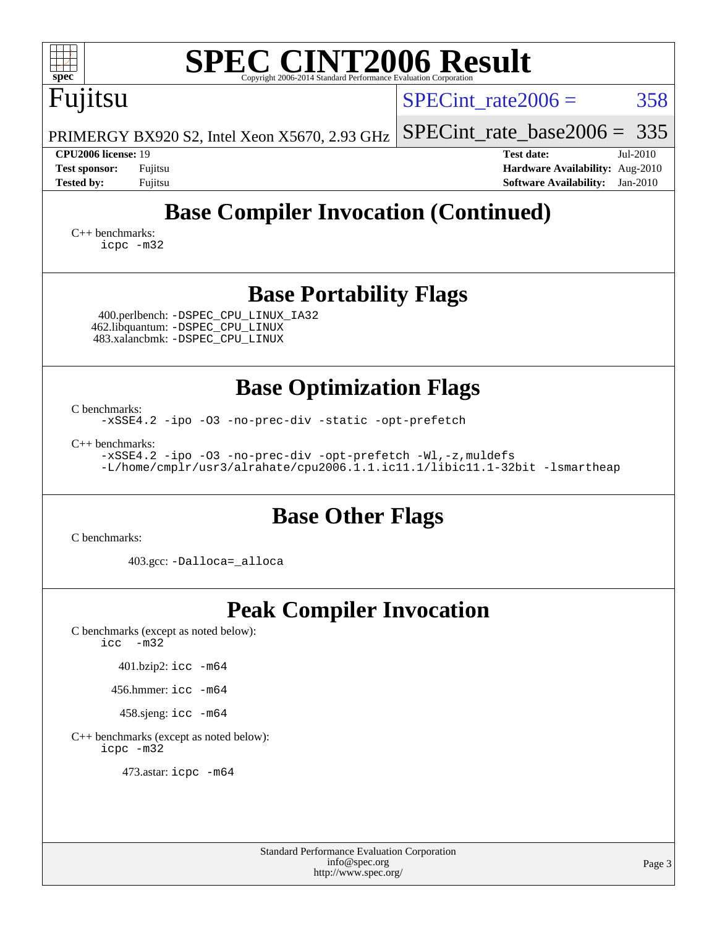| <b>SPEC CINT2006 Result</b><br>${\rm spec^{\circ}}$<br>Copyright 2006-2014 Standard Performance Evaluation Corporation                                                                                                                                                        |                                                                                                                 |  |  |  |  |  |  |
|-------------------------------------------------------------------------------------------------------------------------------------------------------------------------------------------------------------------------------------------------------------------------------|-----------------------------------------------------------------------------------------------------------------|--|--|--|--|--|--|
| Fujitsu                                                                                                                                                                                                                                                                       | 358<br>$SPECint rate 2006 =$                                                                                    |  |  |  |  |  |  |
| PRIMERGY BX920 S2, Intel Xeon X5670, 2.93 GHz                                                                                                                                                                                                                                 | $SPECint_rate_base2006 = 335$                                                                                   |  |  |  |  |  |  |
| <b>CPU2006 license: 19</b><br><b>Test sponsor:</b><br>Fujitsu<br><b>Tested by:</b><br>Fujitsu                                                                                                                                                                                 | <b>Test date:</b><br>Jul-2010<br>Hardware Availability: Aug-2010<br><b>Software Availability:</b><br>$Jan-2010$ |  |  |  |  |  |  |
| <b>Base Compiler Invocation (Continued)</b><br>$C_{++}$ benchmarks:<br>icpc -m32                                                                                                                                                                                              |                                                                                                                 |  |  |  |  |  |  |
| <b>Base Portability Flags</b><br>400.perlbench: -DSPEC CPU LINUX IA32<br>462.libquantum: -DSPEC_CPU_LINUX<br>483.xalancbmk: -DSPEC_CPU_LINUX                                                                                                                                  |                                                                                                                 |  |  |  |  |  |  |
| <b>Base Optimization Flags</b><br>C benchmarks:<br>-xSSE4.2 -ipo -03 -no-prec-div -static -opt-prefetch<br>$C_{++}$ benchmarks:<br>-xSSE4.2 -ipo -03 -no-prec-div -opt-prefetch -Wl,-z, muldefs<br>-L/home/cmplr/usr3/alrahate/cpu2006.1.1.ic11.1/libic11.1-32bit -lsmartheap |                                                                                                                 |  |  |  |  |  |  |
| <b>Base Other Flags</b><br>C benchmarks:                                                                                                                                                                                                                                      |                                                                                                                 |  |  |  |  |  |  |
| 403.gcc: -Dalloca=_alloca                                                                                                                                                                                                                                                     |                                                                                                                 |  |  |  |  |  |  |
| <b>Peak Compiler Invocation</b><br>C benchmarks (except as noted below):<br>icc<br>$-m32$<br>401.bzip2: icc -m64<br>456.hmmer: icc -m64<br>458.sjeng: icc -m64<br>C++ benchmarks (except as noted below):<br>icpc -m32<br>473.astar: icpc -m64                                |                                                                                                                 |  |  |  |  |  |  |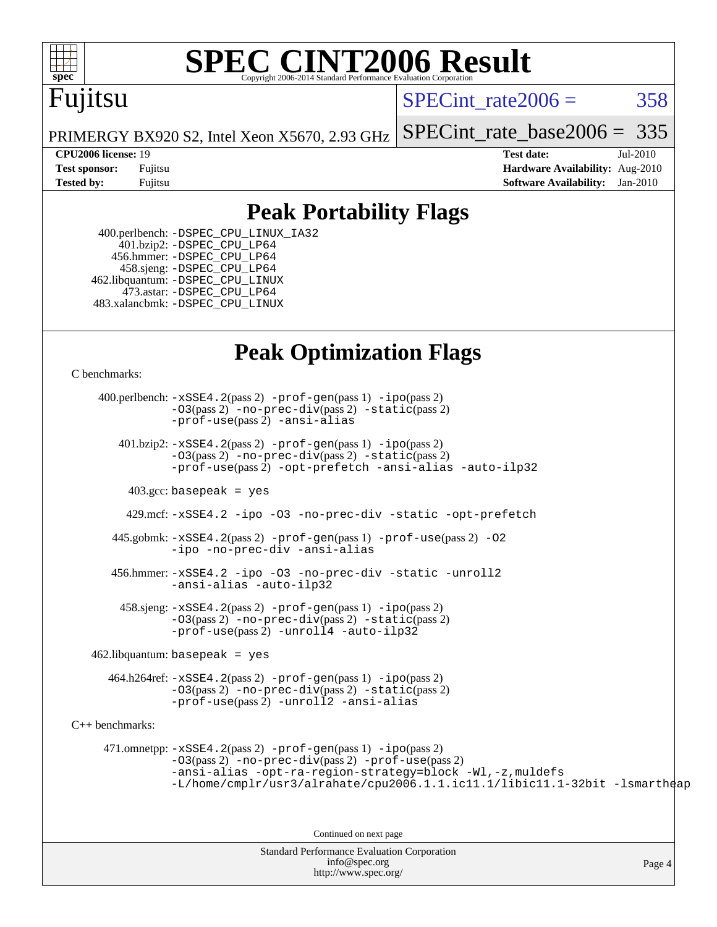

# **[SPEC CINT2006 Result](http://www.spec.org/auto/cpu2006/Docs/result-fields.html#SPECCINT2006Result)**

## Fujitsu

SPECint rate $2006 = 358$ 

[SPECint\\_rate\\_base2006 =](http://www.spec.org/auto/cpu2006/Docs/result-fields.html#SPECintratebase2006)  $335$ 

PRIMERGY BX920 S2, Intel Xeon X5670, 2.93 GHz

**[CPU2006 license:](http://www.spec.org/auto/cpu2006/Docs/result-fields.html#CPU2006license)** 19 **[Test date:](http://www.spec.org/auto/cpu2006/Docs/result-fields.html#Testdate)** Jul-2010 **[Test sponsor:](http://www.spec.org/auto/cpu2006/Docs/result-fields.html#Testsponsor)** Fujitsu **[Hardware Availability:](http://www.spec.org/auto/cpu2006/Docs/result-fields.html#HardwareAvailability)** Aug-2010 **[Tested by:](http://www.spec.org/auto/cpu2006/Docs/result-fields.html#Testedby)** Fujitsu **[Software Availability:](http://www.spec.org/auto/cpu2006/Docs/result-fields.html#SoftwareAvailability)** Jan-2010

## **[Peak Portability Flags](http://www.spec.org/auto/cpu2006/Docs/result-fields.html#PeakPortabilityFlags)**

 400.perlbench: [-DSPEC\\_CPU\\_LINUX\\_IA32](http://www.spec.org/cpu2006/results/res2010q3/cpu2006-20100716-12449.flags.html#b400.perlbench_peakCPORTABILITY_DSPEC_CPU_LINUX_IA32) 401.bzip2: [-DSPEC\\_CPU\\_LP64](http://www.spec.org/cpu2006/results/res2010q3/cpu2006-20100716-12449.flags.html#suite_peakCPORTABILITY401_bzip2_DSPEC_CPU_LP64) 456.hmmer: [-DSPEC\\_CPU\\_LP64](http://www.spec.org/cpu2006/results/res2010q3/cpu2006-20100716-12449.flags.html#suite_peakCPORTABILITY456_hmmer_DSPEC_CPU_LP64) 458.sjeng: [-DSPEC\\_CPU\\_LP64](http://www.spec.org/cpu2006/results/res2010q3/cpu2006-20100716-12449.flags.html#suite_peakCPORTABILITY458_sjeng_DSPEC_CPU_LP64) 462.libquantum: [-DSPEC\\_CPU\\_LINUX](http://www.spec.org/cpu2006/results/res2010q3/cpu2006-20100716-12449.flags.html#b462.libquantum_peakCPORTABILITY_DSPEC_CPU_LINUX) 473.astar: [-DSPEC\\_CPU\\_LP64](http://www.spec.org/cpu2006/results/res2010q3/cpu2006-20100716-12449.flags.html#suite_peakCXXPORTABILITY473_astar_DSPEC_CPU_LP64) 483.xalancbmk: [-DSPEC\\_CPU\\_LINUX](http://www.spec.org/cpu2006/results/res2010q3/cpu2006-20100716-12449.flags.html#b483.xalancbmk_peakCXXPORTABILITY_DSPEC_CPU_LINUX)

## **[Peak Optimization Flags](http://www.spec.org/auto/cpu2006/Docs/result-fields.html#PeakOptimizationFlags)**

[C benchmarks](http://www.spec.org/auto/cpu2006/Docs/result-fields.html#Cbenchmarks):

Standard Performance Evaluation Corporation [info@spec.org](mailto:info@spec.org) Page 4 400.perlbench: [-xSSE4.2](http://www.spec.org/cpu2006/results/res2010q3/cpu2006-20100716-12449.flags.html#user_peakPASS2_CFLAGSPASS2_LDCFLAGS400_perlbench_f-xSSE42_f91528193cf0b216347adb8b939d4107)(pass 2) [-prof-gen](http://www.spec.org/cpu2006/results/res2010q3/cpu2006-20100716-12449.flags.html#user_peakPASS1_CFLAGSPASS1_LDCFLAGS400_perlbench_prof_gen_e43856698f6ca7b7e442dfd80e94a8fc)(pass 1) [-ipo](http://www.spec.org/cpu2006/results/res2010q3/cpu2006-20100716-12449.flags.html#user_peakPASS2_CFLAGSPASS2_LDCFLAGS400_perlbench_f-ipo)(pass 2) [-O3](http://www.spec.org/cpu2006/results/res2010q3/cpu2006-20100716-12449.flags.html#user_peakPASS2_CFLAGSPASS2_LDCFLAGS400_perlbench_f-O3)(pass 2) [-no-prec-div](http://www.spec.org/cpu2006/results/res2010q3/cpu2006-20100716-12449.flags.html#user_peakPASS2_CFLAGSPASS2_LDCFLAGS400_perlbench_f-no-prec-div)(pass 2) [-static](http://www.spec.org/cpu2006/results/res2010q3/cpu2006-20100716-12449.flags.html#user_peakPASS2_CFLAGSPASS2_LDCFLAGS400_perlbench_f-static)(pass 2) [-prof-use](http://www.spec.org/cpu2006/results/res2010q3/cpu2006-20100716-12449.flags.html#user_peakPASS2_CFLAGSPASS2_LDCFLAGS400_perlbench_prof_use_bccf7792157ff70d64e32fe3e1250b55)(pass 2) [-ansi-alias](http://www.spec.org/cpu2006/results/res2010q3/cpu2006-20100716-12449.flags.html#user_peakCOPTIMIZE400_perlbench_f-ansi-alias) 401.bzip2: [-xSSE4.2](http://www.spec.org/cpu2006/results/res2010q3/cpu2006-20100716-12449.flags.html#user_peakPASS2_CFLAGSPASS2_LDCFLAGS401_bzip2_f-xSSE42_f91528193cf0b216347adb8b939d4107)(pass 2) [-prof-gen](http://www.spec.org/cpu2006/results/res2010q3/cpu2006-20100716-12449.flags.html#user_peakPASS1_CFLAGSPASS1_LDCFLAGS401_bzip2_prof_gen_e43856698f6ca7b7e442dfd80e94a8fc)(pass 1) [-ipo](http://www.spec.org/cpu2006/results/res2010q3/cpu2006-20100716-12449.flags.html#user_peakPASS2_CFLAGSPASS2_LDCFLAGS401_bzip2_f-ipo)(pass 2) [-O3](http://www.spec.org/cpu2006/results/res2010q3/cpu2006-20100716-12449.flags.html#user_peakPASS2_CFLAGSPASS2_LDCFLAGS401_bzip2_f-O3)(pass 2) [-no-prec-div](http://www.spec.org/cpu2006/results/res2010q3/cpu2006-20100716-12449.flags.html#user_peakPASS2_CFLAGSPASS2_LDCFLAGS401_bzip2_f-no-prec-div)(pass 2) [-static](http://www.spec.org/cpu2006/results/res2010q3/cpu2006-20100716-12449.flags.html#user_peakPASS2_CFLAGSPASS2_LDCFLAGS401_bzip2_f-static)(pass 2) [-prof-use](http://www.spec.org/cpu2006/results/res2010q3/cpu2006-20100716-12449.flags.html#user_peakPASS2_CFLAGSPASS2_LDCFLAGS401_bzip2_prof_use_bccf7792157ff70d64e32fe3e1250b55)(pass 2) [-opt-prefetch](http://www.spec.org/cpu2006/results/res2010q3/cpu2006-20100716-12449.flags.html#user_peakCOPTIMIZE401_bzip2_f-opt-prefetch) [-ansi-alias](http://www.spec.org/cpu2006/results/res2010q3/cpu2006-20100716-12449.flags.html#user_peakCOPTIMIZE401_bzip2_f-ansi-alias) [-auto-ilp32](http://www.spec.org/cpu2006/results/res2010q3/cpu2006-20100716-12449.flags.html#user_peakCOPTIMIZE401_bzip2_f-auto-ilp32)  $403.\text{gcc: basepeak}$  = yes 429.mcf: [-xSSE4.2](http://www.spec.org/cpu2006/results/res2010q3/cpu2006-20100716-12449.flags.html#user_peakCOPTIMIZE429_mcf_f-xSSE42_f91528193cf0b216347adb8b939d4107) [-ipo](http://www.spec.org/cpu2006/results/res2010q3/cpu2006-20100716-12449.flags.html#user_peakCOPTIMIZE429_mcf_f-ipo) [-O3](http://www.spec.org/cpu2006/results/res2010q3/cpu2006-20100716-12449.flags.html#user_peakCOPTIMIZE429_mcf_f-O3) [-no-prec-div](http://www.spec.org/cpu2006/results/res2010q3/cpu2006-20100716-12449.flags.html#user_peakCOPTIMIZE429_mcf_f-no-prec-div) [-static](http://www.spec.org/cpu2006/results/res2010q3/cpu2006-20100716-12449.flags.html#user_peakCOPTIMIZE429_mcf_f-static) [-opt-prefetch](http://www.spec.org/cpu2006/results/res2010q3/cpu2006-20100716-12449.flags.html#user_peakCOPTIMIZE429_mcf_f-opt-prefetch) 445.gobmk: [-xSSE4.2](http://www.spec.org/cpu2006/results/res2010q3/cpu2006-20100716-12449.flags.html#user_peakPASS2_CFLAGSPASS2_LDCFLAGS445_gobmk_f-xSSE42_f91528193cf0b216347adb8b939d4107)(pass 2) [-prof-gen](http://www.spec.org/cpu2006/results/res2010q3/cpu2006-20100716-12449.flags.html#user_peakPASS1_CFLAGSPASS1_LDCFLAGS445_gobmk_prof_gen_e43856698f6ca7b7e442dfd80e94a8fc)(pass 1) [-prof-use](http://www.spec.org/cpu2006/results/res2010q3/cpu2006-20100716-12449.flags.html#user_peakPASS2_CFLAGSPASS2_LDCFLAGS445_gobmk_prof_use_bccf7792157ff70d64e32fe3e1250b55)(pass 2) [-O2](http://www.spec.org/cpu2006/results/res2010q3/cpu2006-20100716-12449.flags.html#user_peakCOPTIMIZE445_gobmk_f-O2) [-ipo](http://www.spec.org/cpu2006/results/res2010q3/cpu2006-20100716-12449.flags.html#user_peakCOPTIMIZE445_gobmk_f-ipo) [-no-prec-div](http://www.spec.org/cpu2006/results/res2010q3/cpu2006-20100716-12449.flags.html#user_peakCOPTIMIZE445_gobmk_f-no-prec-div) [-ansi-alias](http://www.spec.org/cpu2006/results/res2010q3/cpu2006-20100716-12449.flags.html#user_peakCOPTIMIZE445_gobmk_f-ansi-alias) 456.hmmer: [-xSSE4.2](http://www.spec.org/cpu2006/results/res2010q3/cpu2006-20100716-12449.flags.html#user_peakCOPTIMIZE456_hmmer_f-xSSE42_f91528193cf0b216347adb8b939d4107) [-ipo](http://www.spec.org/cpu2006/results/res2010q3/cpu2006-20100716-12449.flags.html#user_peakCOPTIMIZE456_hmmer_f-ipo) [-O3](http://www.spec.org/cpu2006/results/res2010q3/cpu2006-20100716-12449.flags.html#user_peakCOPTIMIZE456_hmmer_f-O3) [-no-prec-div](http://www.spec.org/cpu2006/results/res2010q3/cpu2006-20100716-12449.flags.html#user_peakCOPTIMIZE456_hmmer_f-no-prec-div) [-static](http://www.spec.org/cpu2006/results/res2010q3/cpu2006-20100716-12449.flags.html#user_peakCOPTIMIZE456_hmmer_f-static) [-unroll2](http://www.spec.org/cpu2006/results/res2010q3/cpu2006-20100716-12449.flags.html#user_peakCOPTIMIZE456_hmmer_f-unroll_784dae83bebfb236979b41d2422d7ec2) [-ansi-alias](http://www.spec.org/cpu2006/results/res2010q3/cpu2006-20100716-12449.flags.html#user_peakCOPTIMIZE456_hmmer_f-ansi-alias) [-auto-ilp32](http://www.spec.org/cpu2006/results/res2010q3/cpu2006-20100716-12449.flags.html#user_peakCOPTIMIZE456_hmmer_f-auto-ilp32)  $458 \text{.}$  sjeng:  $-xSSE4$ .  $2(\text{pass 2})$  -prof-qen(pass 1) [-ipo](http://www.spec.org/cpu2006/results/res2010q3/cpu2006-20100716-12449.flags.html#user_peakPASS2_CFLAGSPASS2_LDCFLAGS458_sjeng_f-ipo)(pass 2) [-O3](http://www.spec.org/cpu2006/results/res2010q3/cpu2006-20100716-12449.flags.html#user_peakPASS2_CFLAGSPASS2_LDCFLAGS458_sjeng_f-O3)(pass 2) [-no-prec-div](http://www.spec.org/cpu2006/results/res2010q3/cpu2006-20100716-12449.flags.html#user_peakPASS2_CFLAGSPASS2_LDCFLAGS458_sjeng_f-no-prec-div)(pass 2) [-static](http://www.spec.org/cpu2006/results/res2010q3/cpu2006-20100716-12449.flags.html#user_peakPASS2_CFLAGSPASS2_LDCFLAGS458_sjeng_f-static)(pass 2) [-prof-use](http://www.spec.org/cpu2006/results/res2010q3/cpu2006-20100716-12449.flags.html#user_peakPASS2_CFLAGSPASS2_LDCFLAGS458_sjeng_prof_use_bccf7792157ff70d64e32fe3e1250b55)(pass 2) [-unroll4](http://www.spec.org/cpu2006/results/res2010q3/cpu2006-20100716-12449.flags.html#user_peakCOPTIMIZE458_sjeng_f-unroll_4e5e4ed65b7fd20bdcd365bec371b81f) [-auto-ilp32](http://www.spec.org/cpu2006/results/res2010q3/cpu2006-20100716-12449.flags.html#user_peakCOPTIMIZE458_sjeng_f-auto-ilp32)  $462$ .libquantum: basepeak = yes 464.h264ref: [-xSSE4.2](http://www.spec.org/cpu2006/results/res2010q3/cpu2006-20100716-12449.flags.html#user_peakPASS2_CFLAGSPASS2_LDCFLAGS464_h264ref_f-xSSE42_f91528193cf0b216347adb8b939d4107)(pass 2) [-prof-gen](http://www.spec.org/cpu2006/results/res2010q3/cpu2006-20100716-12449.flags.html#user_peakPASS1_CFLAGSPASS1_LDCFLAGS464_h264ref_prof_gen_e43856698f6ca7b7e442dfd80e94a8fc)(pass 1) [-ipo](http://www.spec.org/cpu2006/results/res2010q3/cpu2006-20100716-12449.flags.html#user_peakPASS2_CFLAGSPASS2_LDCFLAGS464_h264ref_f-ipo)(pass 2) [-O3](http://www.spec.org/cpu2006/results/res2010q3/cpu2006-20100716-12449.flags.html#user_peakPASS2_CFLAGSPASS2_LDCFLAGS464_h264ref_f-O3)(pass 2) [-no-prec-div](http://www.spec.org/cpu2006/results/res2010q3/cpu2006-20100716-12449.flags.html#user_peakPASS2_CFLAGSPASS2_LDCFLAGS464_h264ref_f-no-prec-div)(pass 2) [-static](http://www.spec.org/cpu2006/results/res2010q3/cpu2006-20100716-12449.flags.html#user_peakPASS2_CFLAGSPASS2_LDCFLAGS464_h264ref_f-static)(pass 2) [-prof-use](http://www.spec.org/cpu2006/results/res2010q3/cpu2006-20100716-12449.flags.html#user_peakPASS2_CFLAGSPASS2_LDCFLAGS464_h264ref_prof_use_bccf7792157ff70d64e32fe3e1250b55)(pass 2) [-unroll2](http://www.spec.org/cpu2006/results/res2010q3/cpu2006-20100716-12449.flags.html#user_peakCOPTIMIZE464_h264ref_f-unroll_784dae83bebfb236979b41d2422d7ec2) [-ansi-alias](http://www.spec.org/cpu2006/results/res2010q3/cpu2006-20100716-12449.flags.html#user_peakCOPTIMIZE464_h264ref_f-ansi-alias) [C++ benchmarks:](http://www.spec.org/auto/cpu2006/Docs/result-fields.html#CXXbenchmarks) 471.omnetpp: [-xSSE4.2](http://www.spec.org/cpu2006/results/res2010q3/cpu2006-20100716-12449.flags.html#user_peakPASS2_CXXFLAGSPASS2_LDCXXFLAGS471_omnetpp_f-xSSE42_f91528193cf0b216347adb8b939d4107)(pass 2) [-prof-gen](http://www.spec.org/cpu2006/results/res2010q3/cpu2006-20100716-12449.flags.html#user_peakPASS1_CXXFLAGSPASS1_LDCXXFLAGS471_omnetpp_prof_gen_e43856698f6ca7b7e442dfd80e94a8fc)(pass 1) [-ipo](http://www.spec.org/cpu2006/results/res2010q3/cpu2006-20100716-12449.flags.html#user_peakPASS2_CXXFLAGSPASS2_LDCXXFLAGS471_omnetpp_f-ipo)(pass 2) [-O3](http://www.spec.org/cpu2006/results/res2010q3/cpu2006-20100716-12449.flags.html#user_peakPASS2_CXXFLAGSPASS2_LDCXXFLAGS471_omnetpp_f-O3)(pass 2) [-no-prec-div](http://www.spec.org/cpu2006/results/res2010q3/cpu2006-20100716-12449.flags.html#user_peakPASS2_CXXFLAGSPASS2_LDCXXFLAGS471_omnetpp_f-no-prec-div)(pass 2) [-prof-use](http://www.spec.org/cpu2006/results/res2010q3/cpu2006-20100716-12449.flags.html#user_peakPASS2_CXXFLAGSPASS2_LDCXXFLAGS471_omnetpp_prof_use_bccf7792157ff70d64e32fe3e1250b55)(pass 2) [-ansi-alias](http://www.spec.org/cpu2006/results/res2010q3/cpu2006-20100716-12449.flags.html#user_peakCXXOPTIMIZE471_omnetpp_f-ansi-alias) [-opt-ra-region-strategy=block](http://www.spec.org/cpu2006/results/res2010q3/cpu2006-20100716-12449.flags.html#user_peakCXXOPTIMIZE471_omnetpp_f-opt-ra-region-strategy-block_a0a37c372d03933b2a18d4af463c1f69) [-Wl,-z,muldefs](http://www.spec.org/cpu2006/results/res2010q3/cpu2006-20100716-12449.flags.html#user_peakEXTRA_LDFLAGS471_omnetpp_link_force_multiple1_74079c344b956b9658436fd1b6dd3a8a) [-L/home/cmplr/usr3/alrahate/cpu2006.1.1.ic11.1/libic11.1-32bit -lsmartheap](http://www.spec.org/cpu2006/results/res2010q3/cpu2006-20100716-12449.flags.html#user_peakEXTRA_LIBS471_omnetpp_SmartHeap_d86dffe4a79b79ef8890d5cce17030c3) Continued on next page

<http://www.spec.org/>